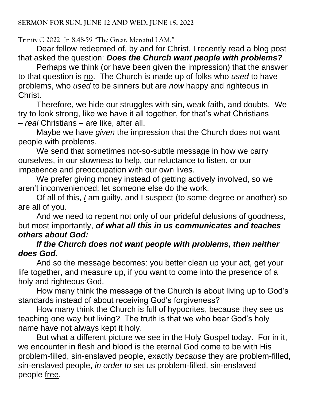Trinity C 2022 Jn 8:48-59 "The Great, Merciful I AM."

Dear fellow redeemed of, by and for Christ, I recently read a blog post that asked the question: *Does the Church want people with problems?*

Perhaps we think (or have been given the impression) that the answer to that question is no. The Church is made up of folks who *used* to have problems, who *used* to be sinners but are *now* happy and righteous in Christ.

Therefore, we hide our struggles with sin, weak faith, and doubts. We try to look strong, like we have it all together, for that's what Christians – *real* Christians – are like, after all.

Maybe we have *given* the impression that the Church does not want people with problems.

We send that sometimes not-so-subtle message in how we carry ourselves, in our slowness to help, our reluctance to listen, or our impatience and preoccupation with our own lives.

We prefer giving money instead of getting actively involved, so we aren't inconvenienced; let someone else do the work.

Of all of this, *I* am guilty, and I suspect (to some degree or another) so are all of you.

And we need to repent not only of our prideful delusions of goodness, but most importantly, *of what all this in us communicates and teaches others about God:*

## *If the Church does not want people with problems, then neither does God.*

And so the message becomes: you better clean up your act, get your life together, and measure up, if you want to come into the presence of a holy and righteous God.

How many think the message of the Church is about living up to God's standards instead of about receiving God's forgiveness?

How many think the Church is full of hypocrites, because they see us teaching one way but living? The truth is that we who bear God's holy name have not always kept it holy.

But what a different picture we see in the Holy Gospel today. For in it, we encounter in flesh and blood is the eternal God come to be with His problem-filled, sin-enslaved people, exactly *because* they are problem-filled, sin-enslaved people, *in order to* set us problem-filled, sin-enslaved people free.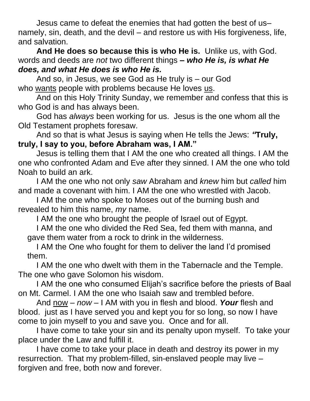Jesus came to defeat the enemies that had gotten the best of us– namely, sin, death, and the devil – and restore us with His forgiveness, life, and salvation.

**And He does so because this is who He is.** Unlike us, with God. words and deeds are *not* two different things *– who He is, is what He does, and what He does is who He is.* 

And so, in Jesus, we see God as He truly is – our God who wants people with problems because He loves us.

And on this Holy Trinity Sunday, we remember and confess that this is who God is and has always been.

God has *always* been working for us. Jesus is the one whom all the Old Testament prophets foresaw.

And so that is what Jesus is saying when He tells the Jews: *"***Truly, truly, I say to you, before Abraham was, I AM."**

Jesus is telling them that I AM the one who created all things. I AM the one who confronted Adam and Eve after they sinned. I AM the one who told Noah to build an ark.

I AM the one who not only *saw* Abraham and *knew* him but *called* him and made a covenant with him. I AM the one who wrestled with Jacob.

I AM the one who spoke to Moses out of the burning bush and revealed to him this name, *my* name.

I AM the one who brought the people of Israel out of Egypt.

I AM the one who divided the Red Sea, fed them with manna, and gave them water from a rock to drink in the wilderness.

I AM the One who fought for them to deliver the land I'd promised them.

I AM the one who dwelt with them in the Tabernacle and the Temple. The one who gave Solomon his wisdom.

I AM the one who consumed Elijah's sacrifice before the priests of Baal on Mt. Carmel. I AM the one who Isaiah saw and trembled before.

And now – *now* – I AM with you in flesh and blood. *Your* flesh and blood. just as I have served you and kept you for so long, so now I have come to join myself to you and save you. Once and for all.

I have come to take your sin and its penalty upon myself. To take your place under the Law and fulfill it.

I have come to take your place in death and destroy its power in my resurrection. That my problem-filled, sin-enslaved people may live – forgiven and free, both now and forever.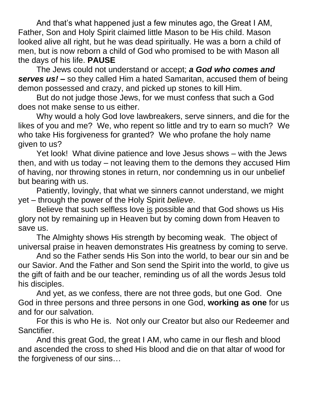And that's what happened just a few minutes ago, the Great I AM, Father, Son and Holy Spirit claimed little Mason to be His child. Mason looked alive all right, but he was dead spiritually. He was a born a child of men, but is now reborn a child of God who promised to be with Mason all the days of his life. **PAUSE**

The Jews could not understand or accept; *a God who comes and serves us!* **–** so they called Him a hated Samaritan, accused them of being demon possessed and crazy, and picked up stones to kill Him.

But do not judge those Jews, for we must confess that such a God does not make sense to us either.

Why would a holy God love lawbreakers, serve sinners, and die for the likes of you and me? We, who repent so little and try to earn so much? We who take His forgiveness for granted? We who profane the holy name given to us?

Yet look! What divine patience and love Jesus shows – with the Jews then, and with us today – not leaving them to the demons they accused Him of having, nor throwing stones in return, nor condemning us in our unbelief but bearing with us.

Patiently, lovingly, that what we sinners cannot understand, we might yet – through the power of the Holy Spirit *believe*.

Believe that such selfless love is possible and that God shows us His glory not by remaining up in Heaven but by coming down from Heaven to save us.

The Almighty shows His strength by becoming weak. The object of universal praise in heaven demonstrates His greatness by coming to serve.

And so the Father sends His Son into the world, to bear our sin and be our Savior. And the Father and Son send the Spirit into the world, to give us the gift of faith and be our teacher, reminding us of all the words Jesus told his disciples.

And yet, as we confess, there are not three gods, but one God. One God in three persons and three persons in one God, **working as one** for us and for our salvation.

For this is who He is. Not only our Creator but also our Redeemer and Sanctifier.

And this great God, the great I AM, who came in our flesh and blood and ascended the cross to shed His blood and die on that altar of wood for the forgiveness of our sins…